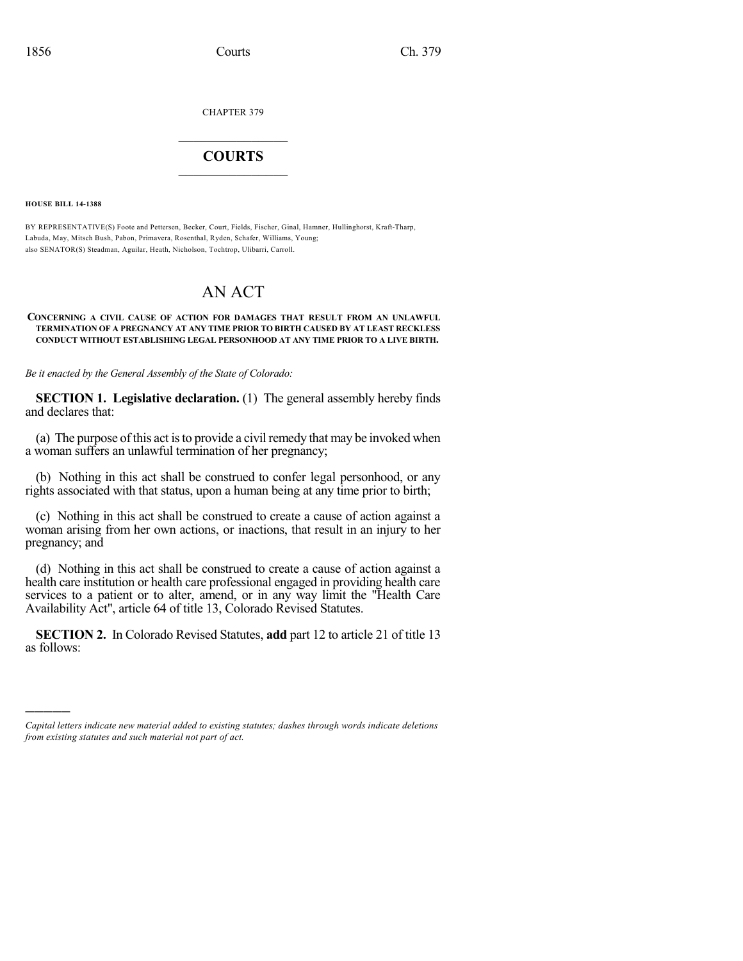CHAPTER 379

## $\mathcal{L}_\text{max}$  . The set of the set of the set of the set of the set of the set of the set of the set of the set of the set of the set of the set of the set of the set of the set of the set of the set of the set of the set **COURTS**  $\_$

**HOUSE BILL 14-1388**

)))))

BY REPRESENTATIVE(S) Foote and Pettersen, Becker, Court, Fields, Fischer, Ginal, Hamner, Hullinghorst, Kraft-Tharp, Labuda, May, Mitsch Bush, Pabon, Primavera, Rosenthal, Ryden, Schafer, Williams, Young; also SENATOR(S) Steadman, Aguilar, Heath, Nicholson, Tochtrop, Ulibarri, Carroll.

## AN ACT

## **CONCERNING A CIVIL CAUSE OF ACTION FOR DAMAGES THAT RESULT FROM AN UNLAWFUL TERMINATION OF A PREGNANCY AT ANY TIME PRIOR TO BIRTH CAUSED BY AT LEAST RECKLESS CONDUCT WITHOUT ESTABLISHING LEGAL PERSONHOOD AT ANY TIME PRIOR TO A LIVE BIRTH.**

*Be it enacted by the General Assembly of the State of Colorado:*

**SECTION 1. Legislative declaration.** (1) The general assembly hereby finds and declares that:

(a) The purpose ofthis act isto provide a civilremedy that may be invoked when a woman suffers an unlawful termination of her pregnancy;

(b) Nothing in this act shall be construed to confer legal personhood, or any rights associated with that status, upon a human being at any time prior to birth;

(c) Nothing in this act shall be construed to create a cause of action against a woman arising from her own actions, or inactions, that result in an injury to her pregnancy; and

(d) Nothing in this act shall be construed to create a cause of action against a health care institution or health care professional engaged in providing health care services to a patient or to alter, amend, or in any way limit the "Health Care Availability Act", article 64 of title 13, Colorado Revised Statutes.

**SECTION 2.** In Colorado Revised Statutes, **add** part 12 to article 21 of title 13 as follows:

*Capital letters indicate new material added to existing statutes; dashes through words indicate deletions from existing statutes and such material not part of act.*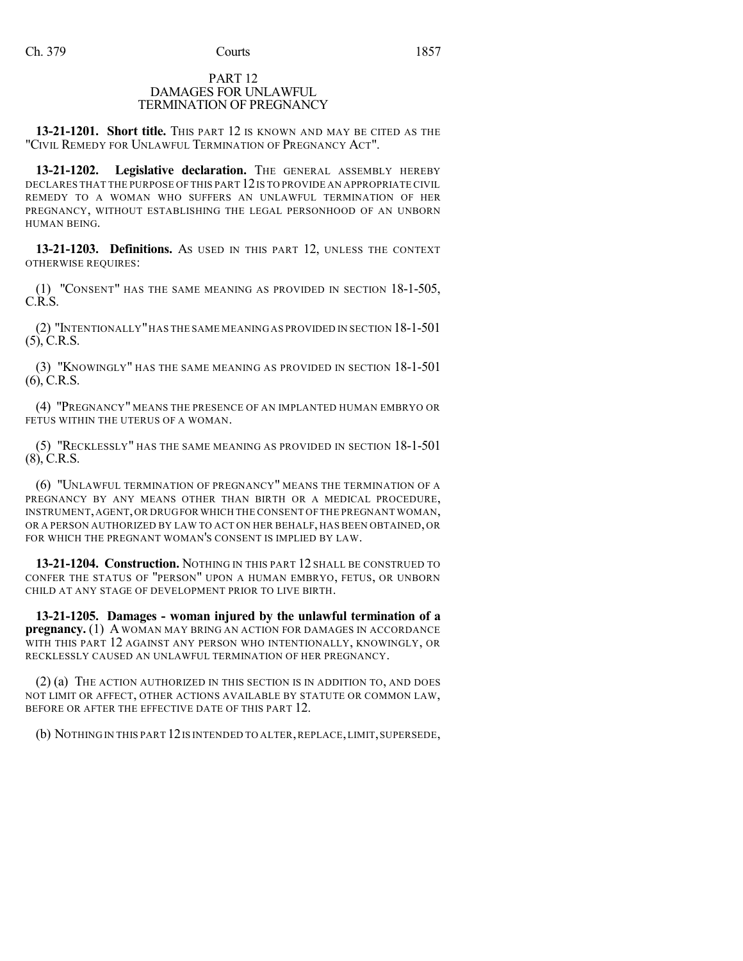## PART 12 DAMAGES FOR UNLAWFUL TERMINATION OF PREGNANCY

**13-21-1201. Short title.** THIS PART 12 IS KNOWN AND MAY BE CITED AS THE "CIVIL REMEDY FOR UNLAWFUL TERMINATION OF PREGNANCY ACT".

13-21-1202. Legislative declaration. The GENERAL ASSEMBLY HEREBY DECLARES THAT THE PURPOSE OF THIS PART 12IS TO PROVIDE AN APPROPRIATE CIVIL REMEDY TO A WOMAN WHO SUFFERS AN UNLAWFUL TERMINATION OF HER PREGNANCY, WITHOUT ESTABLISHING THE LEGAL PERSONHOOD OF AN UNBORN HUMAN BEING.

**13-21-1203. Definitions.** AS USED IN THIS PART 12, UNLESS THE CONTEXT OTHERWISE REQUIRES:

(1) "CONSENT" HAS THE SAME MEANING AS PROVIDED IN SECTION 18-1-505, C.R.S.

(2) "INTENTIONALLY"HAS THE SAME MEANING AS PROVIDED IN SECTION 18-1-501 (5), C.R.S.

(3) "KNOWINGLY" HAS THE SAME MEANING AS PROVIDED IN SECTION 18-1-501 (6), C.R.S.

(4) "PREGNANCY" MEANS THE PRESENCE OF AN IMPLANTED HUMAN EMBRYO OR FETUS WITHIN THE UTERUS OF A WOMAN.

(5) "RECKLESSLY" HAS THE SAME MEANING AS PROVIDED IN SECTION 18-1-501 (8), C.R.S.

(6) "UNLAWFUL TERMINATION OF PREGNANCY" MEANS THE TERMINATION OF A PREGNANCY BY ANY MEANS OTHER THAN BIRTH OR A MEDICAL PROCEDURE, INSTRUMENT,AGENT,OR DRUGFOR WHICH THE CONSENT OF THE PREGNANT WOMAN, OR A PERSON AUTHORIZED BY LAW TO ACT ON HER BEHALF, HAS BEEN OBTAINED, OR FOR WHICH THE PREGNANT WOMAN'S CONSENT IS IMPLIED BY LAW.

**13-21-1204. Construction.** NOTHING IN THIS PART 12 SHALL BE CONSTRUED TO CONFER THE STATUS OF "PERSON" UPON A HUMAN EMBRYO, FETUS, OR UNBORN CHILD AT ANY STAGE OF DEVELOPMENT PRIOR TO LIVE BIRTH.

**13-21-1205. Damages - woman injured by the unlawful termination of a pregnancy.** (1) A WOMAN MAY BRING AN ACTION FOR DAMAGES IN ACCORDANCE WITH THIS PART 12 AGAINST ANY PERSON WHO INTENTIONALLY, KNOWINGLY, OR RECKLESSLY CAUSED AN UNLAWFUL TERMINATION OF HER PREGNANCY.

(2) (a) THE ACTION AUTHORIZED IN THIS SECTION IS IN ADDITION TO, AND DOES NOT LIMIT OR AFFECT, OTHER ACTIONS AVAILABLE BY STATUTE OR COMMON LAW, BEFORE OR AFTER THE EFFECTIVE DATE OF THIS PART 12.

(b) NOTHING IN THIS PART 12IS INTENDED TO ALTER,REPLACE,LIMIT,SUPERSEDE,